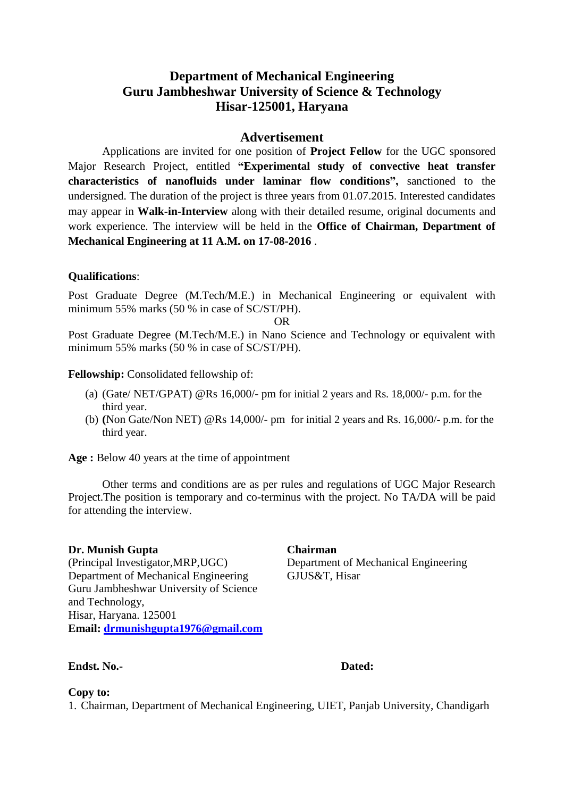# **Department of Mechanical Engineering Guru Jambheshwar University of Science & Technology Hisar-125001, Haryana**

# **Advertisement**

Applications are invited for one position of **Project Fellow** for the UGC sponsored Major Research Project, entitled **"Experimental study of convective heat transfer characteristics of nanofluids under laminar flow conditions",** sanctioned to the undersigned. The duration of the project is three years from 01.07.2015. Interested candidates may appear in **Walk-in-Interview** along with their detailed resume, original documents and work experience. The interview will be held in the **Office of Chairman, Department of Mechanical Engineering at 11 A.M. on 17-08-2016** .

## **Qualifications**:

Post Graduate Degree (M.Tech/M.E.) in Mechanical Engineering or equivalent with minimum 55% marks (50 % in case of SC/ST/PH).

OR

Post Graduate Degree (M.Tech/M.E.) in Nano Science and Technology or equivalent with minimum 55% marks (50 % in case of SC/ST/PH).

## **Fellowship:** Consolidated fellowship of:

- (a) (Gate/ NET/GPAT) @Rs 16,000/- pm for initial 2 years and Rs. 18,000/- p.m. for the third year.
- (b) **(**Non Gate/Non NET) @Rs 14,000/- pm for initial 2 years and Rs. 16,000/- p.m. for the third year.

**Age :** Below 40 years at the time of appointment

Other terms and conditions are as per rules and regulations of UGC Major Research Project.The position is temporary and co-terminus with the project. No TA/DA will be paid for attending the interview.

## **Dr. Munish Gupta**

(Principal Investigator,MRP,UGC) Department of Mechanical Engineering Guru Jambheshwar University of Science and Technology, Hisar, Haryana. 125001 **Email: [drmunishgupta1976@gmail.com](mailto:drmunishgupta1976@gmail.com)**

# **Chairman**

Department of Mechanical Engineering GJUS&T, Hisar

#### **Endst. No.- Dated:**

## **Copy to:**

1. Chairman, Department of Mechanical Engineering, UIET, Panjab University, Chandigarh